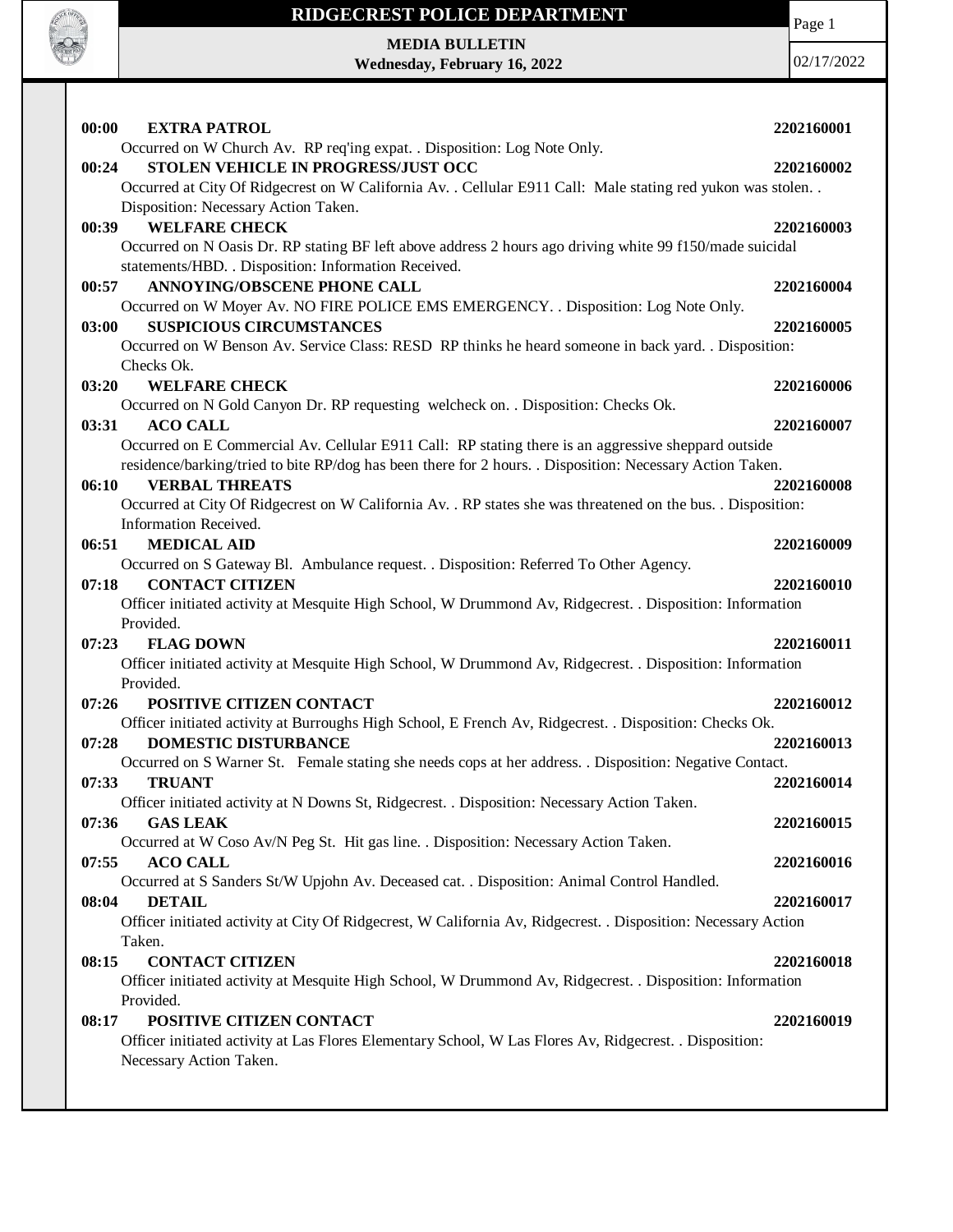

Page 1

**MEDIA BULLETIN Wednesday, February 16, 2022**

| 00:00<br><b>EXTRA PATROL</b>                                                                                   | 2202160001 |
|----------------------------------------------------------------------------------------------------------------|------------|
| Occurred on W Church Av. RP req'ing expat. . Disposition: Log Note Only.                                       |            |
| STOLEN VEHICLE IN PROGRESS/JUST OCC<br>00:24                                                                   | 2202160002 |
| Occurred at City Of Ridgecrest on W California Av. . Cellular E911 Call: Male stating red yukon was stolen. .  |            |
| Disposition: Necessary Action Taken.                                                                           |            |
| <b>WELFARE CHECK</b><br>00:39                                                                                  | 2202160003 |
| Occurred on N Oasis Dr. RP stating BF left above address 2 hours ago driving white 99 f150/made suicidal       |            |
| statements/HBD. . Disposition: Information Received.                                                           |            |
| ANNOYING/OBSCENE PHONE CALL<br>00:57                                                                           | 2202160004 |
| Occurred on W Moyer Av. NO FIRE POLICE EMS EMERGENCY. . Disposition: Log Note Only.                            |            |
| <b>SUSPICIOUS CIRCUMSTANCES</b>                                                                                | 2202160005 |
| 03:00                                                                                                          |            |
| Occurred on W Benson Av. Service Class: RESD RP thinks he heard someone in back yard. . Disposition:           |            |
| Checks Ok.                                                                                                     |            |
| 03:20<br><b>WELFARE CHECK</b>                                                                                  | 2202160006 |
| Occurred on N Gold Canyon Dr. RP requesting welcheck on. . Disposition: Checks Ok.                             |            |
| 03:31<br><b>ACO CALL</b>                                                                                       | 2202160007 |
| Occurred on E Commercial Av. Cellular E911 Call: RP stating there is an aggressive sheppard outside            |            |
| residence/barking/tried to bite RP/dog has been there for 2 hours. . Disposition: Necessary Action Taken.      |            |
| 06:10<br><b>VERBAL THREATS</b>                                                                                 | 2202160008 |
| Occurred at City Of Ridgecrest on W California Av. . RP states she was threatened on the bus. . Disposition:   |            |
| Information Received.                                                                                          |            |
| <b>MEDICAL AID</b><br>06:51                                                                                    | 2202160009 |
| Occurred on S Gateway Bl. Ambulance request. . Disposition: Referred To Other Agency.                          |            |
| <b>CONTACT CITIZEN</b><br>07:18                                                                                | 2202160010 |
| Officer initiated activity at Mesquite High School, W Drummond Av, Ridgecrest. . Disposition: Information      |            |
| Provided.                                                                                                      |            |
| <b>FLAG DOWN</b><br>07:23                                                                                      | 2202160011 |
| Officer initiated activity at Mesquite High School, W Drummond Av, Ridgecrest. . Disposition: Information      |            |
| Provided.                                                                                                      |            |
| POSITIVE CITIZEN CONTACT<br>07:26                                                                              | 2202160012 |
| Officer initiated activity at Burroughs High School, E French Av, Ridgecrest. . Disposition: Checks Ok.        |            |
| <b>DOMESTIC DISTURBANCE</b><br>07:28                                                                           | 2202160013 |
| Occurred on S Warner St. Female stating she needs cops at her address. . Disposition: Negative Contact.        |            |
| <b>TRUANT</b><br>07:33                                                                                         | 2202160014 |
| Officer initiated activity at N Downs St, Ridgecrest. . Disposition: Necessary Action Taken.                   |            |
| <b>GAS LEAK</b><br>07:36                                                                                       | 2202160015 |
| Occurred at W Coso Av/N Peg St. Hit gas line. . Disposition: Necessary Action Taken.                           |            |
| <b>ACO CALL</b><br>07:55                                                                                       | 2202160016 |
| Occurred at S Sanders St/W Upjohn Av. Deceased cat. . Disposition: Animal Control Handled.                     |            |
| 08:04<br><b>DETAIL</b>                                                                                         | 2202160017 |
| Officer initiated activity at City Of Ridgecrest, W California Av, Ridgecrest. . Disposition: Necessary Action |            |
|                                                                                                                |            |
| Taken.                                                                                                         |            |
| <b>CONTACT CITIZEN</b><br>08:15                                                                                | 2202160018 |
| Officer initiated activity at Mesquite High School, W Drummond Av, Ridgecrest. . Disposition: Information      |            |
| Provided.                                                                                                      |            |
|                                                                                                                |            |
| POSITIVE CITIZEN CONTACT<br>08:17                                                                              | 2202160019 |
| Officer initiated activity at Las Flores Elementary School, W Las Flores Av, Ridgecrest. . Disposition:        |            |
| Necessary Action Taken.                                                                                        |            |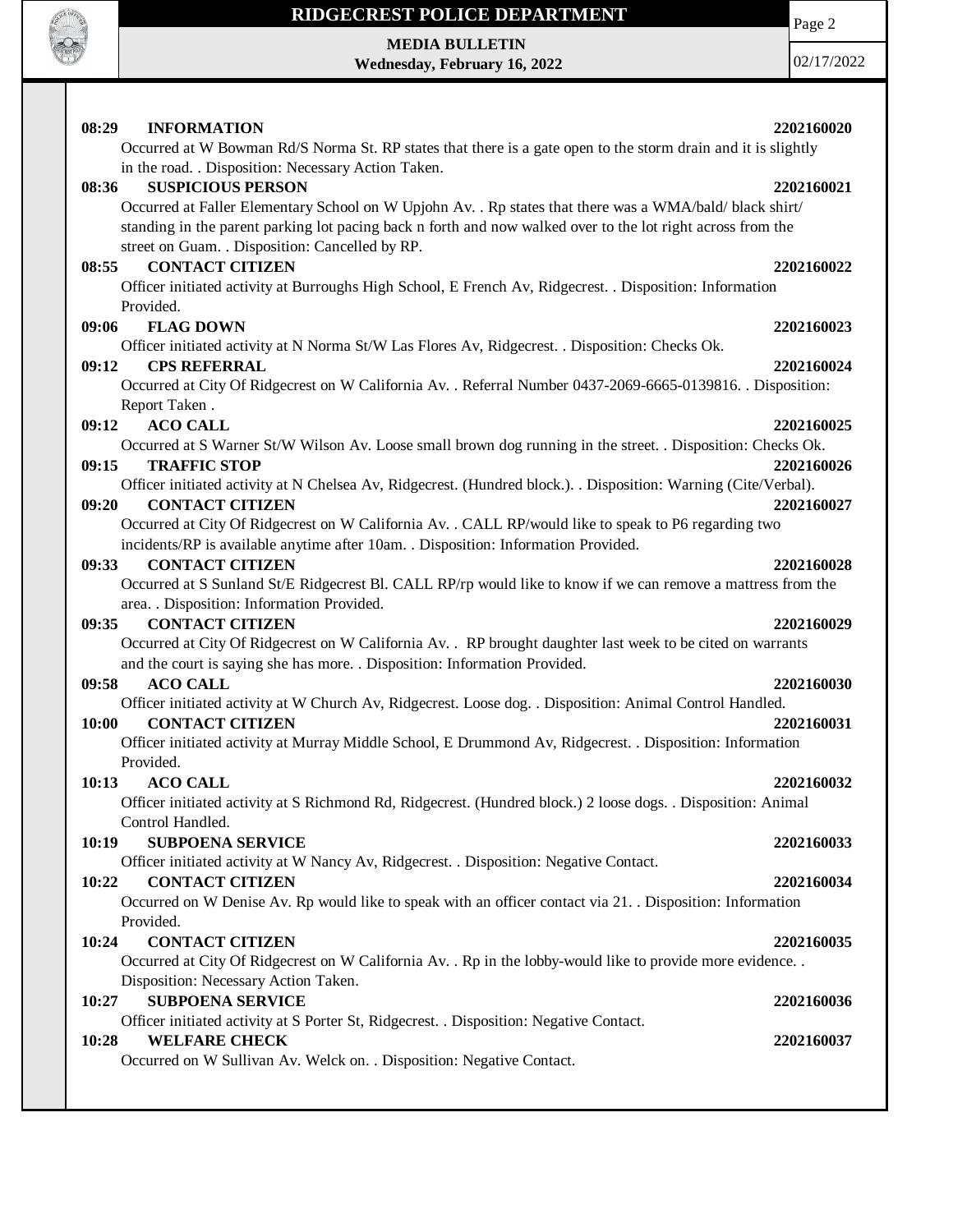

**MEDIA BULLETIN Wednesday, February 16, 2022** Page 2

| 08:29<br><b>INFORMATION</b>                          |                                                                                                               | 2202160020 |
|------------------------------------------------------|---------------------------------------------------------------------------------------------------------------|------------|
|                                                      | Occurred at W Bowman Rd/S Norma St. RP states that there is a gate open to the storm drain and it is slightly |            |
|                                                      | in the road. . Disposition: Necessary Action Taken.                                                           |            |
| <b>SUSPICIOUS PERSON</b><br>08:36                    |                                                                                                               | 2202160021 |
|                                                      | Occurred at Faller Elementary School on W Upjohn Av. . Rp states that there was a WMA/bald/ black shirt/      |            |
|                                                      | standing in the parent parking lot pacing back n forth and now walked over to the lot right across from the   |            |
| street on Guam. . Disposition: Cancelled by RP.      |                                                                                                               |            |
| 08:55<br><b>CONTACT CITIZEN</b>                      |                                                                                                               | 2202160022 |
|                                                      | Officer initiated activity at Burroughs High School, E French Av, Ridgecrest. . Disposition: Information      |            |
| Provided.                                            |                                                                                                               |            |
| <b>FLAG DOWN</b><br>09:06                            |                                                                                                               | 2202160023 |
|                                                      | Officer initiated activity at N Norma St/W Las Flores Av, Ridgecrest. . Disposition: Checks Ok.               |            |
| <b>CPS REFERRAL</b><br>09:12                         |                                                                                                               | 2202160024 |
|                                                      | Occurred at City Of Ridgecrest on W California Av. . Referral Number 0437-2069-6665-0139816. . Disposition:   |            |
| Report Taken.                                        |                                                                                                               |            |
| <b>ACO CALL</b><br>09:12                             |                                                                                                               | 2202160025 |
|                                                      | Occurred at S Warner St/W Wilson Av. Loose small brown dog running in the street. . Disposition: Checks Ok.   |            |
| 09:15<br><b>TRAFFIC STOP</b>                         |                                                                                                               | 2202160026 |
|                                                      | Officer initiated activity at N Chelsea Av, Ridgecrest. (Hundred block.). Disposition: Warning (Cite/Verbal). |            |
| <b>CONTACT CITIZEN</b><br>09:20                      |                                                                                                               | 2202160027 |
|                                                      | Occurred at City Of Ridgecrest on W California Av. . CALL RP/would like to speak to P6 regarding two          |            |
|                                                      | incidents/RP is available anytime after 10am. . Disposition: Information Provided.                            |            |
| 09:33<br><b>CONTACT CITIZEN</b>                      |                                                                                                               | 2202160028 |
|                                                      | Occurred at S Sunland St/E Ridgecrest Bl. CALL RP/rp would like to know if we can remove a mattress from the  |            |
| area. . Disposition: Information Provided.           |                                                                                                               |            |
| <b>CONTACT CITIZEN</b><br>09:35                      |                                                                                                               | 2202160029 |
|                                                      | Occurred at City Of Ridgecrest on W California Av. . RP brought daughter last week to be cited on warrants    |            |
|                                                      | and the court is saying she has more. . Disposition: Information Provided.                                    |            |
| <b>ACO CALL</b><br>09:58                             |                                                                                                               | 2202160030 |
|                                                      | Officer initiated activity at W Church Av, Ridgecrest. Loose dog. . Disposition: Animal Control Handled.      |            |
| <b>CONTACT CITIZEN</b><br>10:00                      |                                                                                                               | 2202160031 |
|                                                      | Officer initiated activity at Murray Middle School, E Drummond Av, Ridgecrest. . Disposition: Information     |            |
| Provided.                                            |                                                                                                               |            |
| 10:13<br><b>ACO CALL</b>                             |                                                                                                               | 2202160032 |
|                                                      | Officer initiated activity at S Richmond Rd, Ridgecrest. (Hundred block.) 2 loose dogs. . Disposition: Animal |            |
| Control Handled.<br><b>SUBPOENA SERVICE</b><br>10:19 |                                                                                                               |            |
|                                                      |                                                                                                               | 2202160033 |
| <b>CONTACT CITIZEN</b><br>10:22                      | Officer initiated activity at W Nancy Av, Ridgecrest. . Disposition: Negative Contact.                        | 2202160034 |
|                                                      | Occurred on W Denise Av. Rp would like to speak with an officer contact via 21. Disposition: Information      |            |
| Provided.                                            |                                                                                                               |            |
| 10:24<br><b>CONTACT CITIZEN</b>                      |                                                                                                               | 2202160035 |
|                                                      | Occurred at City Of Ridgecrest on W California Av. . Rp in the lobby-would like to provide more evidence. .   |            |
| Disposition: Necessary Action Taken.                 |                                                                                                               |            |
| 10:27<br><b>SUBPOENA SERVICE</b>                     |                                                                                                               | 2202160036 |
|                                                      | Officer initiated activity at S Porter St, Ridgecrest. . Disposition: Negative Contact.                       |            |
| <b>WELFARE CHECK</b><br>10:28                        |                                                                                                               | 2202160037 |
|                                                      | Occurred on W Sullivan Av. Welck on. . Disposition: Negative Contact.                                         |            |
|                                                      |                                                                                                               |            |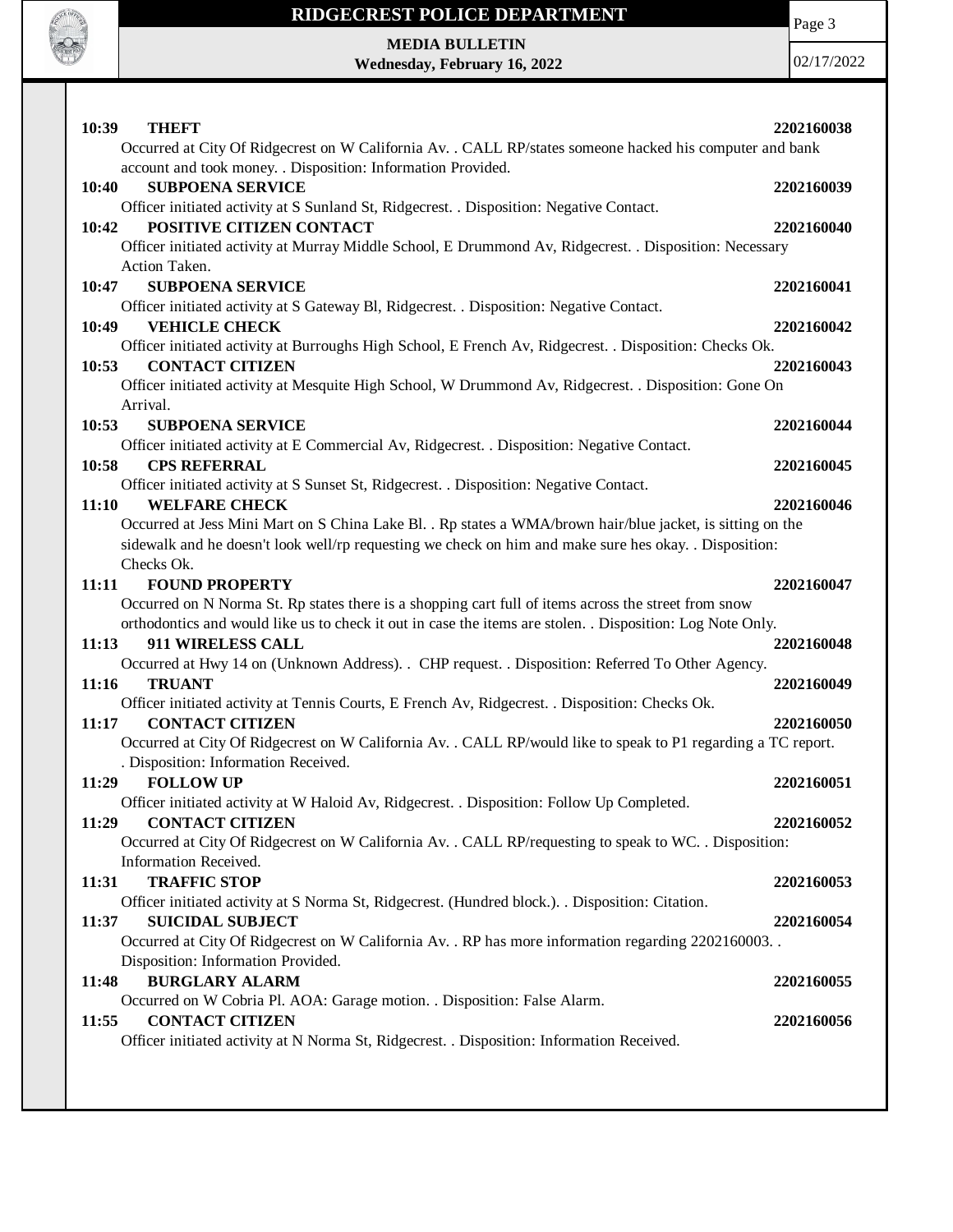

Page 3

**MEDIA BULLETIN Wednesday, February 16, 2022**

| 10:39<br><b>THEFT</b><br>Occurred at City Of Ridgecrest on W California Av. . CALL RP/states someone hacked his computer and bank                                                                                                                                   | 2202160038 |
|---------------------------------------------------------------------------------------------------------------------------------------------------------------------------------------------------------------------------------------------------------------------|------------|
| account and took money. . Disposition: Information Provided.<br>10:40<br><b>SUBPOENA SERVICE</b><br>Officer initiated activity at S Sunland St, Ridgecrest. . Disposition: Negative Contact.                                                                        | 2202160039 |
| POSITIVE CITIZEN CONTACT<br>10:42<br>Officer initiated activity at Murray Middle School, E Drummond Av, Ridgecrest. . Disposition: Necessary<br>Action Taken.                                                                                                       | 2202160040 |
| <b>SUBPOENA SERVICE</b><br>10:47<br>Officer initiated activity at S Gateway Bl, Ridgecrest. . Disposition: Negative Contact.                                                                                                                                        | 2202160041 |
| 10:49<br><b>VEHICLE CHECK</b><br>Officer initiated activity at Burroughs High School, E French Av, Ridgecrest. . Disposition: Checks Ok.                                                                                                                            | 2202160042 |
| <b>CONTACT CITIZEN</b><br>10:53<br>Officer initiated activity at Mesquite High School, W Drummond Av, Ridgecrest. . Disposition: Gone On                                                                                                                            | 2202160043 |
| Arrival.<br>10:53<br><b>SUBPOENA SERVICE</b><br>Officer initiated activity at E Commercial Av, Ridgecrest. . Disposition: Negative Contact.                                                                                                                         | 2202160044 |
| <b>CPS REFERRAL</b><br>10:58<br>Officer initiated activity at S Sunset St, Ridgecrest. . Disposition: Negative Contact.                                                                                                                                             | 2202160045 |
| <b>WELFARE CHECK</b><br>11:10<br>Occurred at Jess Mini Mart on S China Lake Bl. . Rp states a WMA/brown hair/blue jacket, is sitting on the<br>sidewalk and he doesn't look well/rp requesting we check on him and make sure hes okay. . Disposition:<br>Checks Ok. | 2202160046 |
| 11:11<br><b>FOUND PROPERTY</b><br>Occurred on N Norma St. Rp states there is a shopping cart full of items across the street from snow<br>orthodontics and would like us to check it out in case the items are stolen. . Disposition: Log Note Only.                | 2202160047 |
| 11:13<br>911 WIRELESS CALL<br>Occurred at Hwy 14 on (Unknown Address). . CHP request. . Disposition: Referred To Other Agency.                                                                                                                                      | 2202160048 |
| 11:16<br><b>TRUANT</b><br>Officer initiated activity at Tennis Courts, E French Av, Ridgecrest. . Disposition: Checks Ok.                                                                                                                                           | 2202160049 |
| <b>CONTACT CITIZEN</b><br>11:17<br>Occurred at City Of Ridgecrest on W California Av. . CALL RP/would like to speak to P1 regarding a TC report.<br>. Disposition: Information Received.                                                                            | 2202160050 |
| 11:29<br><b>FOLLOW UP</b><br>Officer initiated activity at W Haloid Av, Ridgecrest. . Disposition: Follow Up Completed.                                                                                                                                             | 2202160051 |
| <b>CONTACT CITIZEN</b><br>11:29<br>Occurred at City Of Ridgecrest on W California Av. . CALL RP/requesting to speak to WC. . Disposition:<br>Information Received.                                                                                                  | 2202160052 |
| 11:31<br><b>TRAFFIC STOP</b><br>Officer initiated activity at S Norma St, Ridgecrest. (Hundred block.). . Disposition: Citation.                                                                                                                                    | 2202160053 |
| 11:37<br><b>SUICIDAL SUBJECT</b><br>Occurred at City Of Ridgecrest on W California Av. . RP has more information regarding 2202160003. .                                                                                                                            | 2202160054 |
| Disposition: Information Provided.<br><b>BURGLARY ALARM</b><br>11:48                                                                                                                                                                                                | 2202160055 |
| Occurred on W Cobria Pl. AOA: Garage motion. . Disposition: False Alarm.<br>11:55<br><b>CONTACT CITIZEN</b><br>Officer initiated activity at N Norma St, Ridgecrest. . Disposition: Information Received.                                                           | 2202160056 |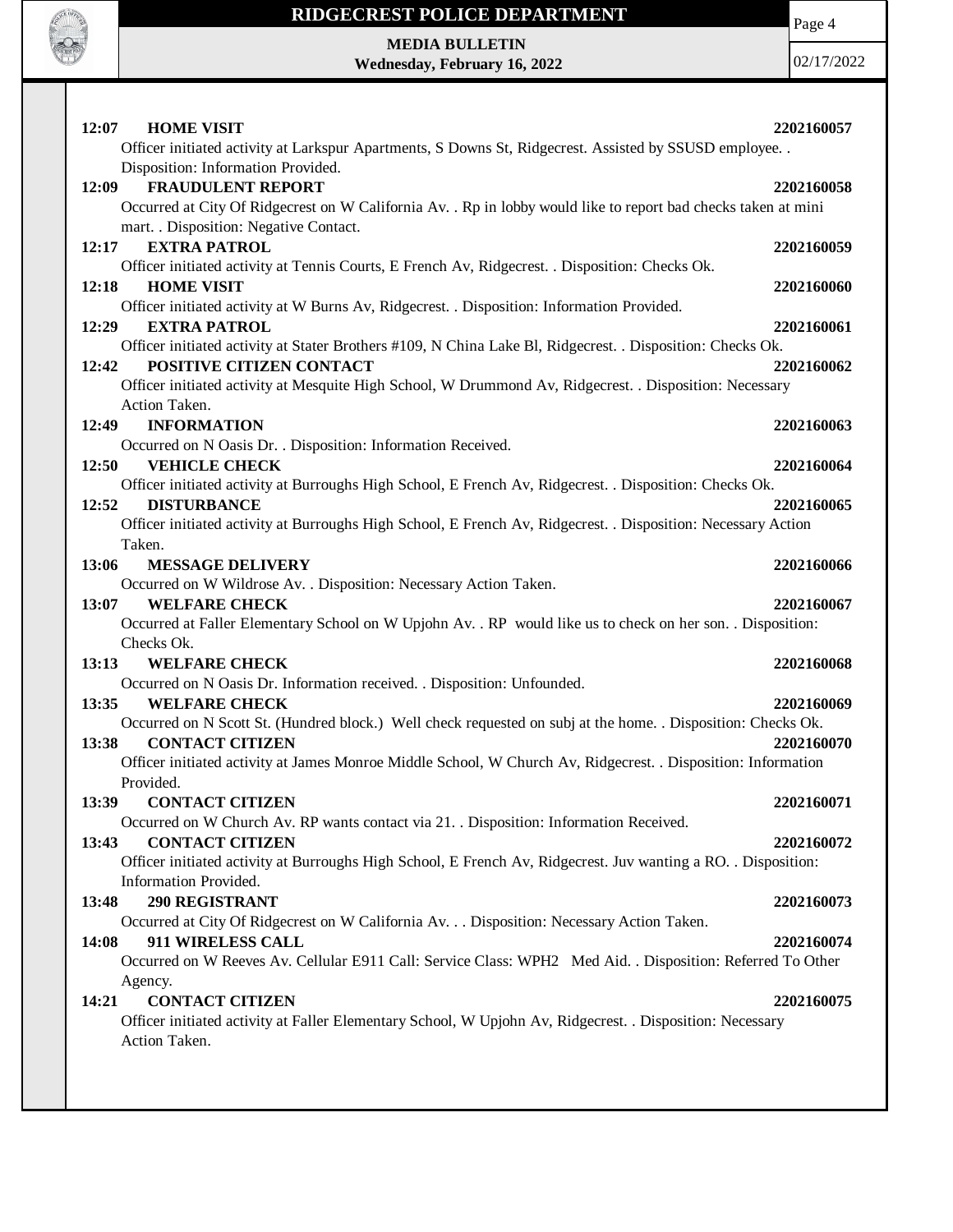

Page 4

**MEDIA BULLETIN Wednesday, February 16, 2022**

| 12:07 | <b>HOME VISIT</b><br>Officer initiated activity at Larkspur Apartments, S Downs St, Ridgecrest. Assisted by SSUSD employee. .                                                                                              | 2202160057 |
|-------|----------------------------------------------------------------------------------------------------------------------------------------------------------------------------------------------------------------------------|------------|
| 12:09 | Disposition: Information Provided.<br><b>FRAUDULENT REPORT</b><br>Occurred at City Of Ridgecrest on W California Av. . Rp in lobby would like to report bad checks taken at mini<br>mart. . Disposition: Negative Contact. | 2202160058 |
| 12:17 | <b>EXTRA PATROL</b><br>Officer initiated activity at Tennis Courts, E French Av, Ridgecrest. . Disposition: Checks Ok.                                                                                                     | 2202160059 |
| 12:18 | <b>HOME VISIT</b>                                                                                                                                                                                                          | 2202160060 |
| 12:29 | Officer initiated activity at W Burns Av, Ridgecrest. . Disposition: Information Provided.<br><b>EXTRA PATROL</b>                                                                                                          | 2202160061 |
|       | Officer initiated activity at Stater Brothers #109, N China Lake Bl, Ridgecrest. . Disposition: Checks Ok.                                                                                                                 |            |
| 12:42 | POSITIVE CITIZEN CONTACT                                                                                                                                                                                                   | 2202160062 |
|       | Officer initiated activity at Mesquite High School, W Drummond Av, Ridgecrest. . Disposition: Necessary                                                                                                                    |            |
| 12:49 | Action Taken.<br><b>INFORMATION</b>                                                                                                                                                                                        | 2202160063 |
|       | Occurred on N Oasis Dr. . Disposition: Information Received.                                                                                                                                                               |            |
| 12:50 | <b>VEHICLE CHECK</b>                                                                                                                                                                                                       | 2202160064 |
|       | Officer initiated activity at Burroughs High School, E French Av, Ridgecrest. . Disposition: Checks Ok.                                                                                                                    |            |
| 12:52 | <b>DISTURBANCE</b>                                                                                                                                                                                                         | 2202160065 |
|       | Officer initiated activity at Burroughs High School, E French Av, Ridgecrest. . Disposition: Necessary Action                                                                                                              |            |
|       | Taken.                                                                                                                                                                                                                     |            |
| 13:06 | <b>MESSAGE DELIVERY</b>                                                                                                                                                                                                    | 2202160066 |
|       | Occurred on W Wildrose Av. . Disposition: Necessary Action Taken.                                                                                                                                                          |            |
| 13:07 | <b>WELFARE CHECK</b>                                                                                                                                                                                                       | 2202160067 |
|       | Occurred at Faller Elementary School on W Upjohn Av. . RP would like us to check on her son. . Disposition:<br>Checks Ok.                                                                                                  |            |
| 13:13 | <b>WELFARE CHECK</b>                                                                                                                                                                                                       | 2202160068 |
|       | Occurred on N Oasis Dr. Information received. . Disposition: Unfounded.                                                                                                                                                    |            |
| 13:35 | <b>WELFARE CHECK</b>                                                                                                                                                                                                       | 2202160069 |
|       | Occurred on N Scott St. (Hundred block.) Well check requested on subj at the home. . Disposition: Checks Ok.                                                                                                               |            |
| 13:38 | <b>CONTACT CITIZEN</b>                                                                                                                                                                                                     | 2202160070 |
|       | Officer initiated activity at James Monroe Middle School, W Church Av, Ridgecrest. . Disposition: Information                                                                                                              |            |
|       | Provided.                                                                                                                                                                                                                  |            |
| 13:39 | <b>CONTACT CITIZEN</b>                                                                                                                                                                                                     | 2202160071 |
|       | Occurred on W Church Av. RP wants contact via 21. . Disposition: Information Received.                                                                                                                                     |            |
| 13:43 | <b>CONTACT CITIZEN</b><br>Officer initiated activity at Burroughs High School, E French Av, Ridgecrest. Juv wanting a RO. . Disposition:                                                                                   | 2202160072 |
|       | Information Provided.                                                                                                                                                                                                      |            |
| 13:48 | 290 REGISTRANT                                                                                                                                                                                                             | 2202160073 |
|       | Occurred at City Of Ridgecrest on W California Av. Disposition: Necessary Action Taken.                                                                                                                                    |            |
| 14:08 | 911 WIRELESS CALL                                                                                                                                                                                                          | 2202160074 |
|       | Occurred on W Reeves Av. Cellular E911 Call: Service Class: WPH2 Med Aid. . Disposition: Referred To Other                                                                                                                 |            |
|       | Agency.                                                                                                                                                                                                                    |            |
| 14:21 | <b>CONTACT CITIZEN</b>                                                                                                                                                                                                     | 2202160075 |
|       | Officer initiated activity at Faller Elementary School, W Upjohn Av, Ridgecrest. . Disposition: Necessary<br>Action Taken.                                                                                                 |            |
|       |                                                                                                                                                                                                                            |            |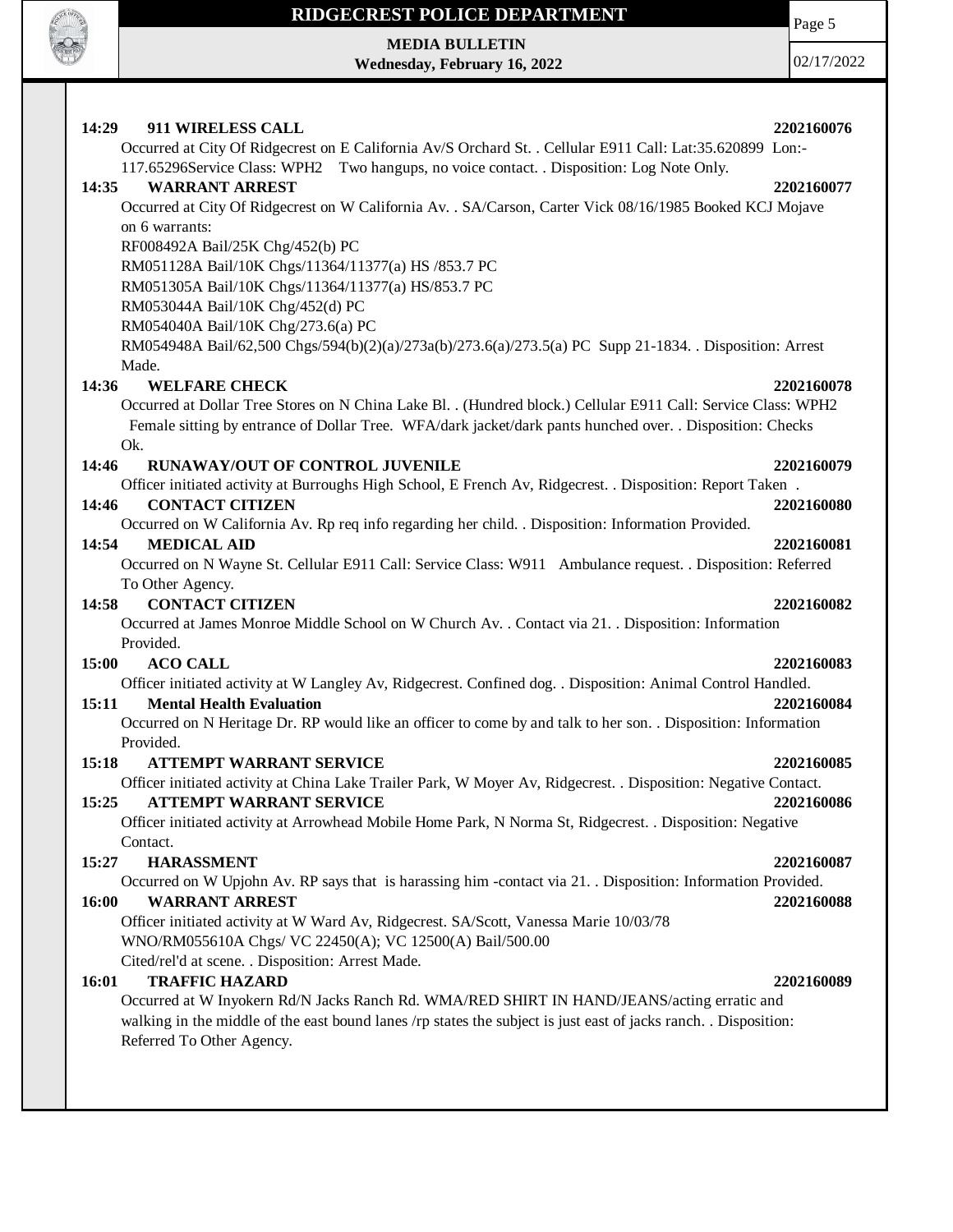

**MEDIA BULLETIN Wednesday, February 16, 2022** Page 5

| 14:29<br>911 WIRELESS CALL<br>Occurred at City Of Ridgecrest on E California Av/S Orchard St. . Cellular E911 Call: Lat:35.620899 Lon:- | 2202160076 |
|-----------------------------------------------------------------------------------------------------------------------------------------|------------|
| 117.65296Service Class: WPH2 Two hangups, no voice contact. . Disposition: Log Note Only.                                               |            |
| <b>WARRANT ARREST</b><br>14:35                                                                                                          | 2202160077 |
| Occurred at City Of Ridgecrest on W California Av. . SA/Carson, Carter Vick 08/16/1985 Booked KCJ Mojave                                |            |
| on 6 warrants:                                                                                                                          |            |
| RF008492A Bail/25K Chg/452(b) PC                                                                                                        |            |
| RM051128A Bail/10K Chgs/11364/11377(a) HS /853.7 PC                                                                                     |            |
| RM051305A Bail/10K Chgs/11364/11377(a) HS/853.7 PC                                                                                      |            |
| RM053044A Bail/10K Chg/452(d) PC                                                                                                        |            |
| RM054040A Bail/10K Chg/273.6(a) PC                                                                                                      |            |
| RM054948A Bail/62,500 Chgs/594(b)(2)(a)/273a(b)/273.6(a)/273.5(a) PC Supp 21-1834. . Disposition: Arrest                                |            |
| Made.                                                                                                                                   |            |
| <b>WELFARE CHECK</b><br>14:36                                                                                                           | 2202160078 |
| Occurred at Dollar Tree Stores on N China Lake Bl. . (Hundred block.) Cellular E911 Call: Service Class: WPH2                           |            |
| Female sitting by entrance of Dollar Tree. WFA/dark jacket/dark pants hunched over. . Disposition: Checks                               |            |
| Ok.                                                                                                                                     |            |
| 14:46<br>RUNAWAY/OUT OF CONTROL JUVENILE                                                                                                | 2202160079 |
| Officer initiated activity at Burroughs High School, E French Av, Ridgecrest. . Disposition: Report Taken.                              |            |
| <b>CONTACT CITIZEN</b><br>14:46                                                                                                         | 2202160080 |
| Occurred on W California Av. Rp req info regarding her child. . Disposition: Information Provided.                                      |            |
| 14:54<br><b>MEDICAL AID</b>                                                                                                             | 2202160081 |
| Occurred on N Wayne St. Cellular E911 Call: Service Class: W911 Ambulance request. . Disposition: Referred                              |            |
| To Other Agency.                                                                                                                        |            |
| <b>CONTACT CITIZEN</b><br>14:58                                                                                                         | 2202160082 |
| Occurred at James Monroe Middle School on W Church Av. . Contact via 21. . Disposition: Information                                     |            |
| Provided.                                                                                                                               |            |
| 15:00<br><b>ACO CALL</b>                                                                                                                | 2202160083 |
| Officer initiated activity at W Langley Av, Ridgecrest. Confined dog. . Disposition: Animal Control Handled.                            |            |
| 15:11<br><b>Mental Health Evaluation</b>                                                                                                | 2202160084 |
| Occurred on N Heritage Dr. RP would like an officer to come by and talk to her son. . Disposition: Information                          |            |
| Provided.                                                                                                                               |            |
| 15:18<br><b>ATTEMPT WARRANT SERVICE</b>                                                                                                 | 2202160085 |
| Officer initiated activity at China Lake Trailer Park, W Moyer Av, Ridgecrest. . Disposition: Negative Contact.                         |            |
| 15:25 ATTEMPT WARRANT SERVICE                                                                                                           | 2202160086 |
| Officer initiated activity at Arrowhead Mobile Home Park, N Norma St, Ridgecrest. . Disposition: Negative                               |            |
| Contact.                                                                                                                                |            |
| 15:27<br><b>HARASSMENT</b>                                                                                                              | 2202160087 |
| Occurred on W Upjohn Av. RP says that is harassing him -contact via 21. Disposition: Information Provided.                              |            |
| 16:00<br><b>WARRANT ARREST</b>                                                                                                          | 2202160088 |
| Officer initiated activity at W Ward Av, Ridgecrest. SA/Scott, Vanessa Marie 10/03/78                                                   |            |
| WNO/RM055610A Chgs/ VC 22450(A); VC 12500(A) Bail/500.00                                                                                |            |
| Cited/rel'd at scene. . Disposition: Arrest Made.                                                                                       |            |
| <b>TRAFFIC HAZARD</b><br>16:01                                                                                                          | 2202160089 |
| Occurred at W Inyokern Rd/N Jacks Ranch Rd. WMA/RED SHIRT IN HAND/JEANS/acting erratic and                                              |            |
| walking in the middle of the east bound lanes /rp states the subject is just east of jacks ranch. Disposition:                          |            |
| Referred To Other Agency.                                                                                                               |            |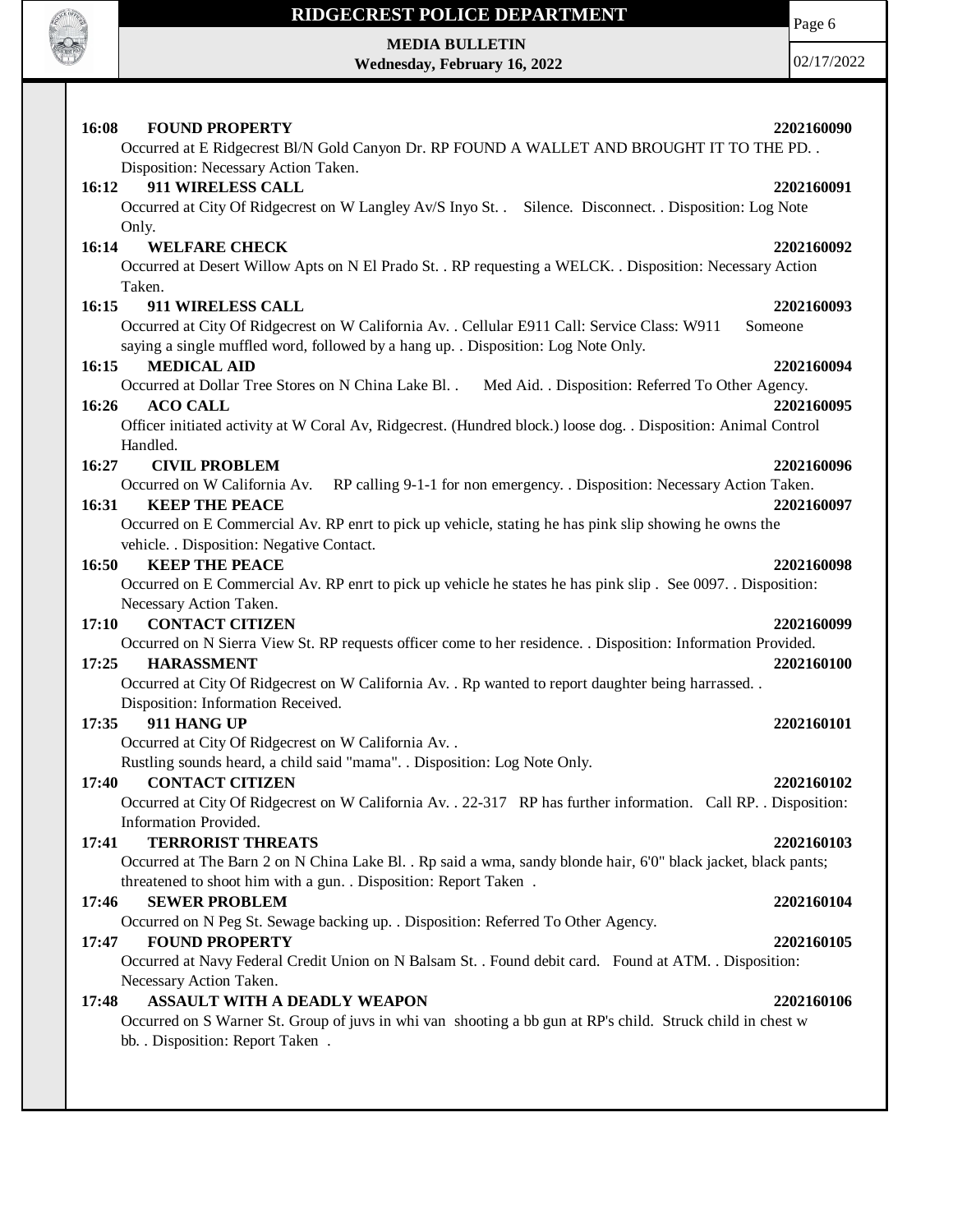

**MEDIA BULLETIN Wednesday, February 16, 2022**

| <b>FOUND PROPERTY</b><br>16:08<br>Occurred at E Ridgecrest Bl/N Gold Canyon Dr. RP FOUND A WALLET AND BROUGHT IT TO THE PD. .                                                                                                                                                                                                                                              | 2202160090               |
|----------------------------------------------------------------------------------------------------------------------------------------------------------------------------------------------------------------------------------------------------------------------------------------------------------------------------------------------------------------------------|--------------------------|
| Disposition: Necessary Action Taken.<br>911 WIRELESS CALL<br>16:12<br>Occurred at City Of Ridgecrest on W Langley Av/S Inyo St. Silence. Disconnect. . Disposition: Log Note                                                                                                                                                                                               | 2202160091               |
| Only.<br><b>WELFARE CHECK</b><br>16:14<br>Occurred at Desert Willow Apts on N El Prado St. . RP requesting a WELCK. . Disposition: Necessary Action                                                                                                                                                                                                                        | 2202160092               |
| Taken.<br>16:15<br><b>911 WIRELESS CALL</b><br>Occurred at City Of Ridgecrest on W California Av. . Cellular E911 Call: Service Class: W911                                                                                                                                                                                                                                | 2202160093<br>Someone    |
| saying a single muffled word, followed by a hang up. . Disposition: Log Note Only.<br><b>MEDICAL AID</b><br>16:15<br>Occurred at Dollar Tree Stores on N China Lake Bl. . Med Aid. . Disposition: Referred To Other Agency.<br>16:26<br><b>ACO CALL</b><br>Officer initiated activity at W Coral Av, Ridgecrest. (Hundred block.) loose dog. . Disposition: Animal Control | 2202160094<br>2202160095 |
| Handled.<br>16:27<br><b>CIVIL PROBLEM</b><br>Occurred on W California Av. RP calling 9-1-1 for non emergency. . Disposition: Necessary Action Taken.<br><b>KEEP THE PEACE</b><br>16:31                                                                                                                                                                                     | 2202160096<br>2202160097 |
| Occurred on E Commercial Av. RP enrt to pick up vehicle, stating he has pink slip showing he owns the<br>vehicle. . Disposition: Negative Contact.<br><b>KEEP THE PEACE</b><br>16:50<br>Occurred on E Commercial Av. RP enrt to pick up vehicle he states he has pink slip. See 0097. Disposition:<br>Necessary Action Taken.                                              | 2202160098               |
| <b>CONTACT CITIZEN</b><br>17:10<br>Occurred on N Sierra View St. RP requests officer come to her residence. . Disposition: Information Provided.<br>17:25<br><b>HARASSMENT</b><br>Occurred at City Of Ridgecrest on W California Av. . Rp wanted to report daughter being harrassed. .                                                                                     | 2202160099<br>2202160100 |
| Disposition: Information Received.<br>911 HANG UP<br>17:35<br>Occurred at City Of Ridgecrest on W California Av. .                                                                                                                                                                                                                                                         | 2202160101               |
| Rustling sounds heard, a child said "mama". . Disposition: Log Note Only.<br><b>CONTACT CITIZEN</b><br>17:40<br>Occurred at City Of Ridgecrest on W California Av. . 22-317 RP has further information. Call RP. . Disposition:                                                                                                                                            | 2202160102               |
| Information Provided.<br>17:41<br><b>TERRORIST THREATS</b><br>Occurred at The Barn 2 on N China Lake Bl. . Rp said a wma, sandy blonde hair, 6'0" black jacket, black pants;                                                                                                                                                                                               | 2202160103               |
| threatened to shoot him with a gun. . Disposition: Report Taken .<br>17:46<br><b>SEWER PROBLEM</b><br>Occurred on N Peg St. Sewage backing up. . Disposition: Referred To Other Agency.                                                                                                                                                                                    | 2202160104               |
| <b>FOUND PROPERTY</b><br>17:47<br>Occurred at Navy Federal Credit Union on N Balsam St. . Found debit card. Found at ATM. . Disposition:<br>Necessary Action Taken.                                                                                                                                                                                                        | 2202160105               |
| 17:48<br><b>ASSAULT WITH A DEADLY WEAPON</b><br>Occurred on S Warner St. Group of juvs in whi van shooting a bb gun at RP's child. Struck child in chest w<br>bb. . Disposition: Report Taken .                                                                                                                                                                            | 2202160106               |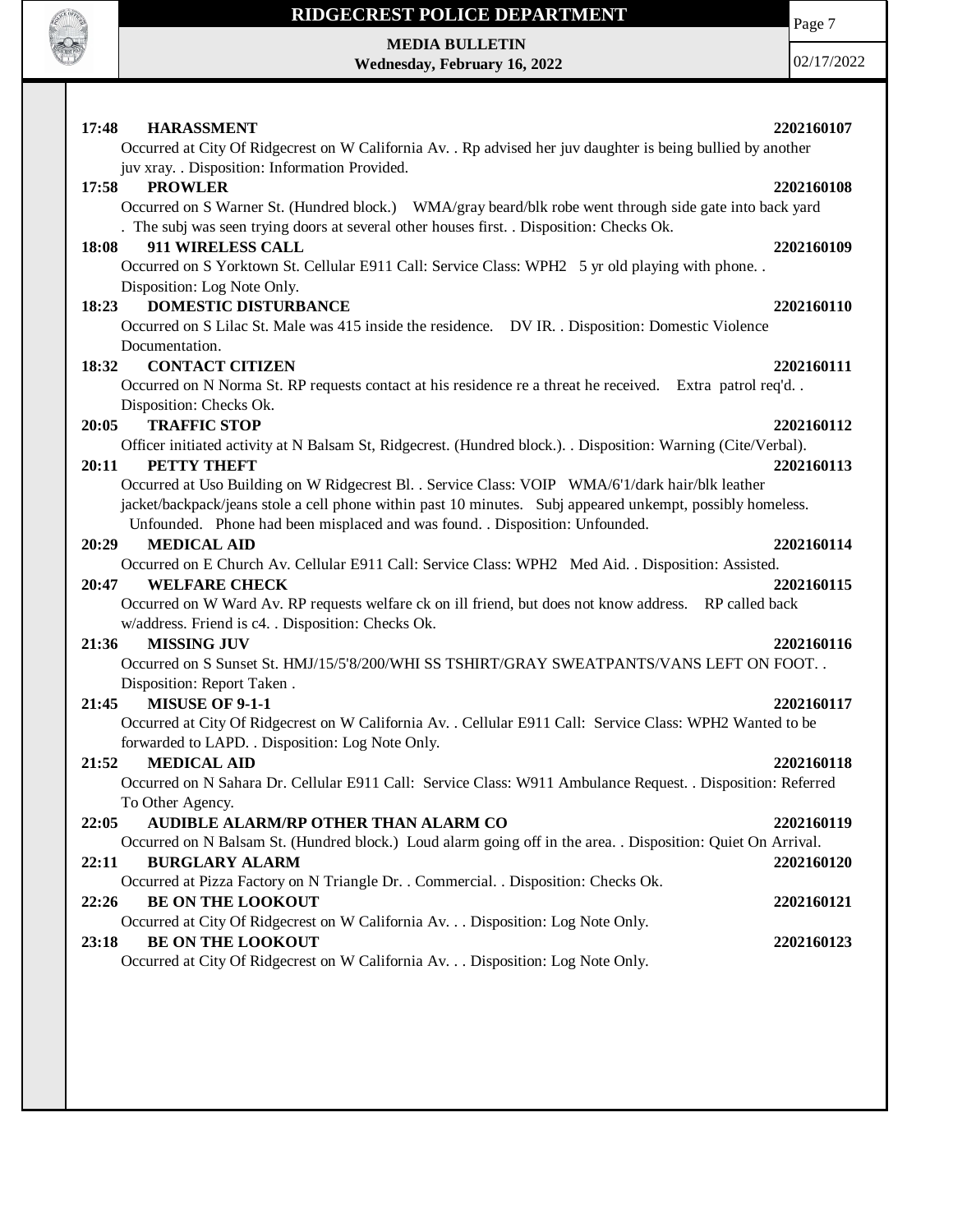

**MEDIA BULLETIN Wednesday, February 16, 2022** Page 7

| <b>HARASSMENT</b><br>17:48                                                                                     | 2202160107 |
|----------------------------------------------------------------------------------------------------------------|------------|
| Occurred at City Of Ridgecrest on W California Av. . Rp advised her juv daughter is being bullied by another   |            |
| juv xray. . Disposition: Information Provided.                                                                 |            |
| <b>PROWLER</b><br>17:58                                                                                        | 2202160108 |
| Occurred on S Warner St. (Hundred block.) WMA/gray beard/blk robe went through side gate into back yard        |            |
| . The subj was seen trying doors at several other houses first. . Disposition: Checks Ok.                      |            |
| 18:08<br>911 WIRELESS CALL                                                                                     | 2202160109 |
| Occurred on S Yorktown St. Cellular E911 Call: Service Class: WPH2 5 yr old playing with phone                 |            |
| Disposition: Log Note Only.                                                                                    |            |
| 18:23<br><b>DOMESTIC DISTURBANCE</b>                                                                           | 2202160110 |
| Occurred on S Lilac St. Male was 415 inside the residence. DV IR. . Disposition: Domestic Violence             |            |
| Documentation.                                                                                                 |            |
| 18:32<br><b>CONTACT CITIZEN</b>                                                                                | 2202160111 |
| Occurred on N Norma St. RP requests contact at his residence re a threat he received. Extra patrol req'd       |            |
| Disposition: Checks Ok.                                                                                        |            |
| <b>TRAFFIC STOP</b><br>20:05                                                                                   | 2202160112 |
| Officer initiated activity at N Balsam St, Ridgecrest. (Hundred block.). . Disposition: Warning (Cite/Verbal). |            |
| PETTY THEFT<br>20:11                                                                                           | 2202160113 |
| Occurred at Uso Building on W Ridgecrest Bl. . Service Class: VOIP WMA/6'1/dark hair/blk leather               |            |
| jacket/backpack/jeans stole a cell phone within past 10 minutes. Subj appeared unkempt, possibly homeless.     |            |
| Unfounded. Phone had been misplaced and was found. . Disposition: Unfounded.                                   |            |
| <b>MEDICAL AID</b><br>20:29                                                                                    | 2202160114 |
| Occurred on E Church Av. Cellular E911 Call: Service Class: WPH2 Med Aid. . Disposition: Assisted.             |            |
| <b>WELFARE CHECK</b><br>20:47                                                                                  | 2202160115 |
| Occurred on W Ward Av. RP requests welfare ck on ill friend, but does not know address. RP called back         |            |
| w/address. Friend is c4. . Disposition: Checks Ok.<br><b>MISSING JUV</b><br>21:36                              |            |
| Occurred on S Sunset St. HMJ/15/5'8/200/WHI SS TSHIRT/GRAY SWEATPANTS/VANS LEFT ON FOOT. .                     | 2202160116 |
| Disposition: Report Taken.                                                                                     |            |
| MISUSE OF 9-1-1<br>21:45                                                                                       | 2202160117 |
| Occurred at City Of Ridgecrest on W California Av. . Cellular E911 Call: Service Class: WPH2 Wanted to be      |            |
| forwarded to LAPD. . Disposition: Log Note Only.                                                               |            |
| <b>MEDICAL AID</b><br>21:52                                                                                    | 2202160118 |
| Occurred on N Sahara Dr. Cellular E911 Call: Service Class: W911 Ambulance Request. . Disposition: Referred    |            |
| To Other Agency.                                                                                               |            |
| 22:05<br>AUDIBLE ALARM/RP OTHER THAN ALARM CO                                                                  | 2202160119 |
| Occurred on N Balsam St. (Hundred block.) Loud alarm going off in the area. . Disposition: Quiet On Arrival.   |            |
| <b>BURGLARY ALARM</b><br>22:11                                                                                 | 2202160120 |
| Occurred at Pizza Factory on N Triangle Dr. . Commercial. . Disposition: Checks Ok.                            |            |
| <b>BE ON THE LOOKOUT</b><br>22:26                                                                              | 2202160121 |
| Occurred at City Of Ridgecrest on W California Av. Disposition: Log Note Only.                                 |            |
| <b>BE ON THE LOOKOUT</b><br>23:18                                                                              | 2202160123 |
| Occurred at City Of Ridgecrest on W California Av. Disposition: Log Note Only.                                 |            |
|                                                                                                                |            |
|                                                                                                                |            |